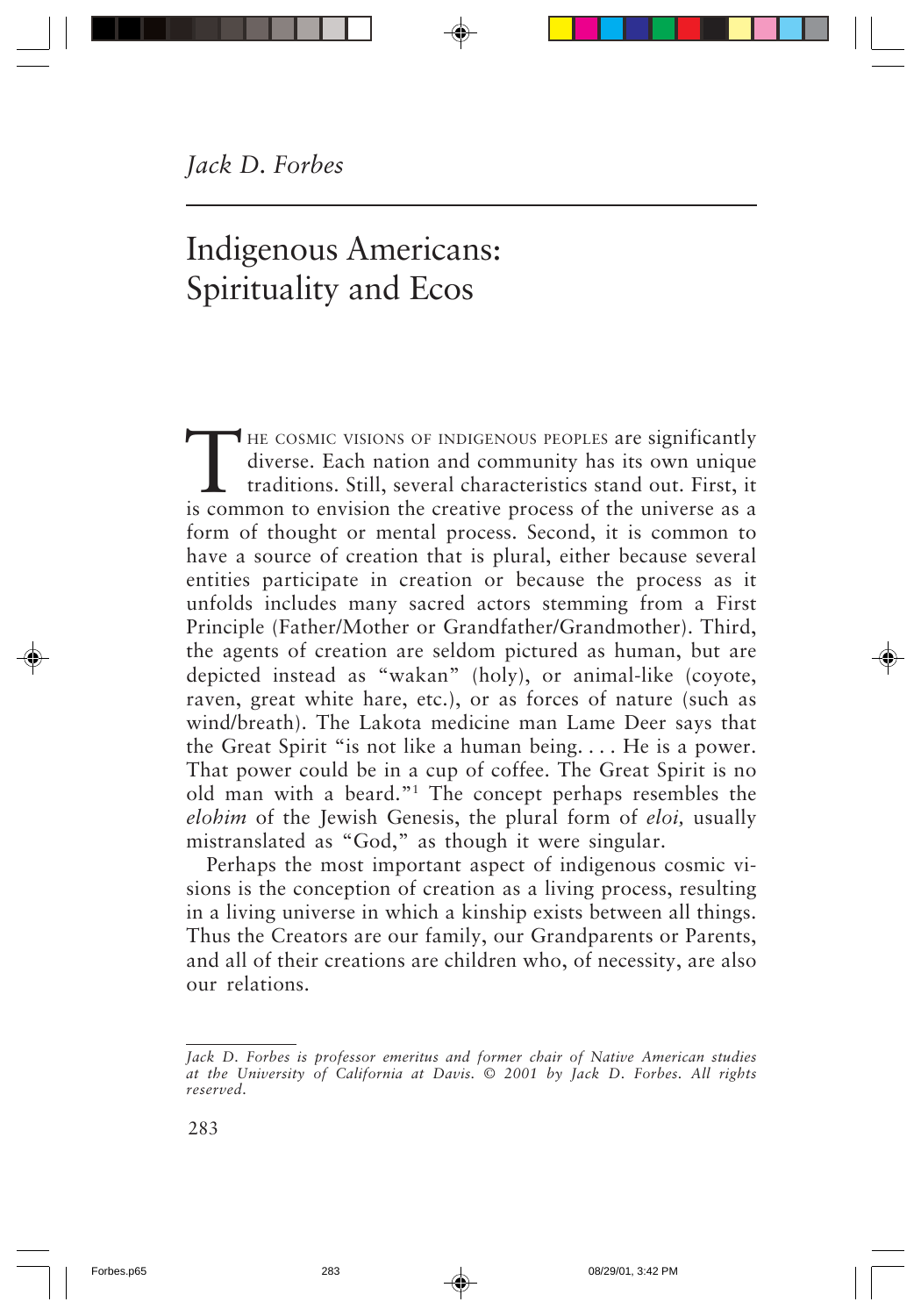# Indigenous Americans: Spirituality and Ecos

THE COSMIC VISIONS OF INDIGENOUS PEOPLES are significantly diverse. Each nation and community has its own unique traditions. Still, several characteristics stand out. First, it is common to envision the creative process of diverse. Each nation and community has its own unique traditions. Still, several characteristics stand out. First, it is common to envision the creative process of the universe as a form of thought or mental process. Second, it is common to have a source of creation that is plural, either because several entities participate in creation or because the process as it unfolds includes many sacred actors stemming from a First Principle (Father/Mother or Grandfather/Grandmother). Third, the agents of creation are seldom pictured as human, but are depicted instead as "wakan" (holy), or animal-like (coyote, raven, great white hare, etc.), or as forces of nature (such as wind/breath). The Lakota medicine man Lame Deer says that the Great Spirit "is not like a human being. . . . He is a power. That power could be in a cup of coffee. The Great Spirit is no old man with a beard."1 The concept perhaps resembles the *elohim* of the Jewish Genesis, the plural form of *eloi,* usually mistranslated as "God," as though it were singular.

Perhaps the most important aspect of indigenous cosmic visions is the conception of creation as a living process, resulting in a living universe in which a kinship exists between all things. Thus the Creators are our family, our Grandparents or Parents, and all of their creations are children who, of necessity, are also our relations.

*Jack D. Forbes is professor emeritus and former chair of Native American studies at the University of California at Davis. © 2001 by Jack D. Forbes. All rights reserved.*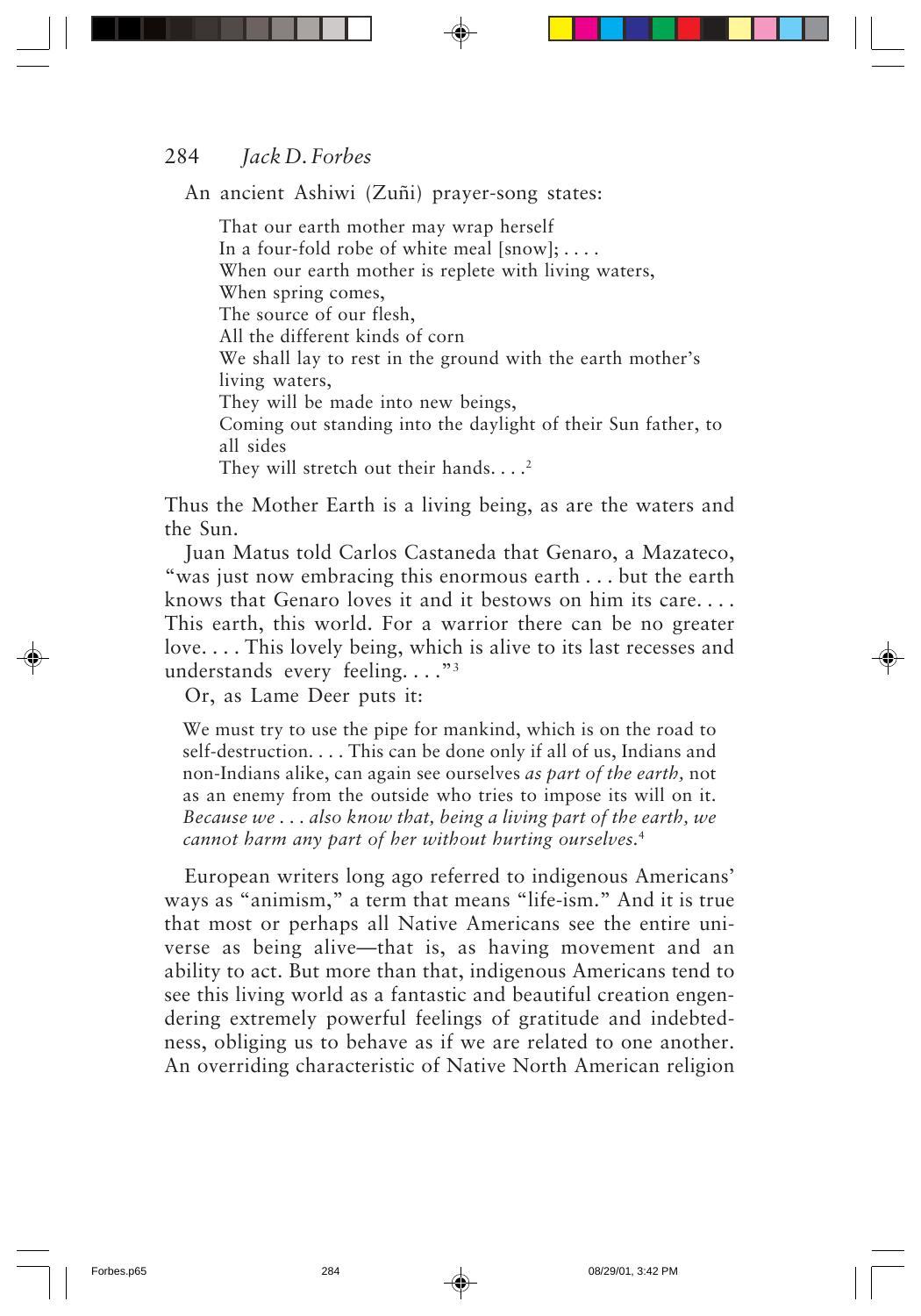An ancient Ashiwi (Zuñi) prayer-song states:

That our earth mother may wrap herself In a four-fold robe of white meal  $[snow]; \ldots$ . When our earth mother is replete with living waters, When spring comes, The source of our flesh, All the different kinds of corn We shall lay to rest in the ground with the earth mother's living waters, They will be made into new beings, Coming out standing into the daylight of their Sun father, to all sides They will stretch out their hands.  $\ldots$ <sup>2</sup>

Thus the Mother Earth is a living being, as are the waters and the Sun.

Juan Matus told Carlos Castaneda that Genaro, a Mazateco, "was just now embracing this enormous earth . . . but the earth knows that Genaro loves it and it bestows on him its care. . . . This earth, this world. For a warrior there can be no greater love. . . . This lovely being, which is alive to its last recesses and understands every feeling. . . ."3

Or, as Lame Deer puts it:

We must try to use the pipe for mankind, which is on the road to self-destruction. . . . This can be done only if all of us, Indians and non-Indians alike, can again see ourselves *as part of the earth,* not as an enemy from the outside who tries to impose its will on it. *Because we . . . also know that, being a living part of the earth, we cannot harm any part of her without hurting ourselves.*<sup>4</sup>

European writers long ago referred to indigenous Americans' ways as "animism," a term that means "life-ism." And it is true that most or perhaps all Native Americans see the entire universe as being alive—that is, as having movement and an ability to act. But more than that, indigenous Americans tend to see this living world as a fantastic and beautiful creation engendering extremely powerful feelings of gratitude and indebtedness, obliging us to behave as if we are related to one another. An overriding characteristic of Native North American religion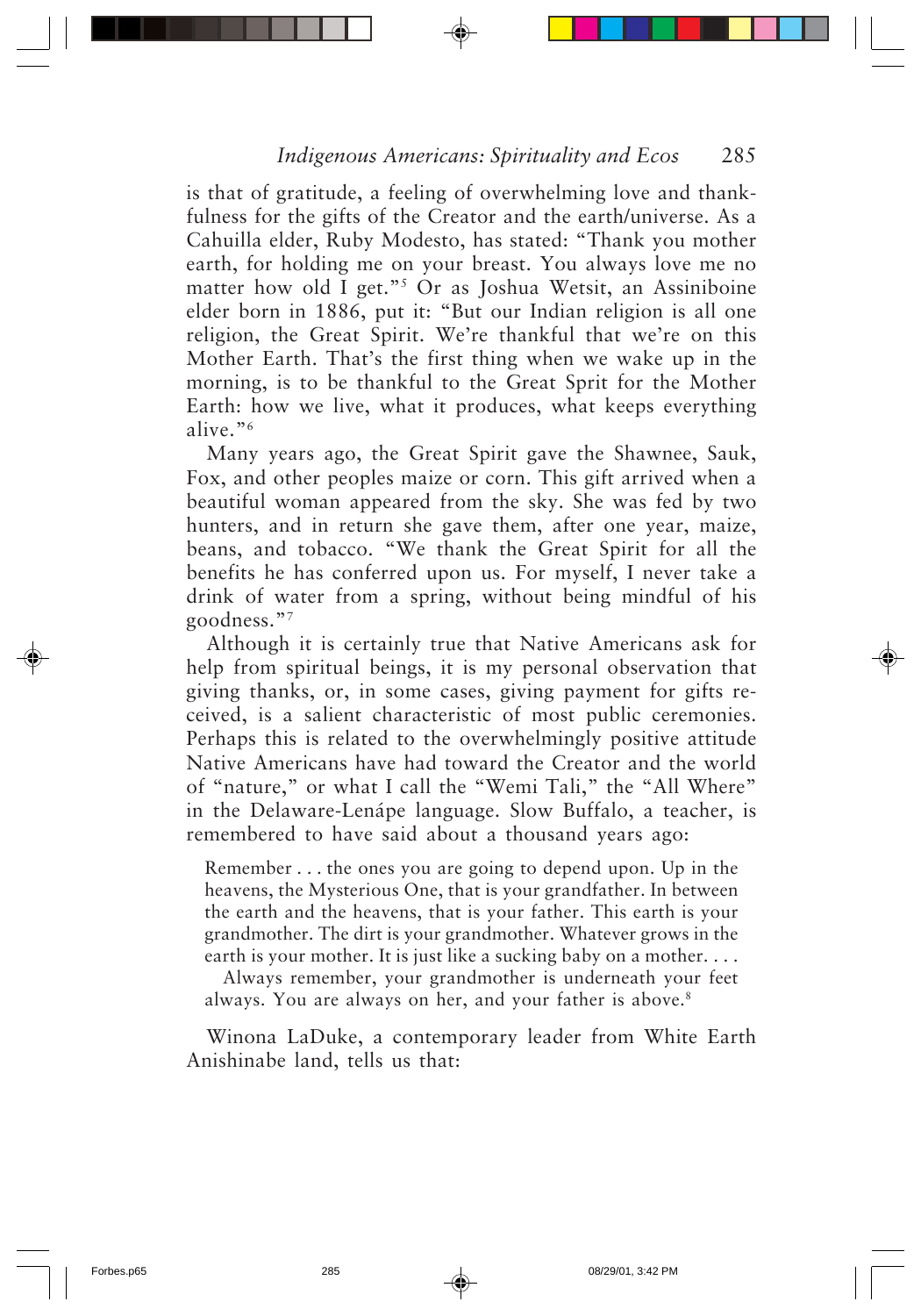is that of gratitude, a feeling of overwhelming love and thankfulness for the gifts of the Creator and the earth/universe. As a Cahuilla elder, Ruby Modesto, has stated: "Thank you mother earth, for holding me on your breast. You always love me no matter how old I get."5 Or as Joshua Wetsit, an Assiniboine elder born in 1886, put it: "But our Indian religion is all one religion, the Great Spirit. We're thankful that we're on this Mother Earth. That's the first thing when we wake up in the morning, is to be thankful to the Great Sprit for the Mother Earth: how we live, what it produces, what keeps everything alive."6

Many years ago, the Great Spirit gave the Shawnee, Sauk, Fox, and other peoples maize or corn. This gift arrived when a beautiful woman appeared from the sky. She was fed by two hunters, and in return she gave them, after one year, maize, beans, and tobacco. "We thank the Great Spirit for all the benefits he has conferred upon us. For myself, I never take a drink of water from a spring, without being mindful of his goodness."7

Although it is certainly true that Native Americans ask for help from spiritual beings, it is my personal observation that giving thanks, or, in some cases, giving payment for gifts received, is a salient characteristic of most public ceremonies. Perhaps this is related to the overwhelmingly positive attitude Native Americans have had toward the Creator and the world of "nature," or what I call the "Wemi Tali," the "All Where" in the Delaware-Lenápe language. Slow Buffalo, a teacher, is remembered to have said about a thousand years ago:

Remember . . . the ones you are going to depend upon. Up in the heavens, the Mysterious One, that is your grandfather. In between the earth and the heavens, that is your father. This earth is your grandmother. The dirt is your grandmother. Whatever grows in the earth is your mother. It is just like a sucking baby on a mother. . . .

Always remember, your grandmother is underneath your feet always. You are always on her, and your father is above.<sup>8</sup>

Winona LaDuke, a contemporary leader from White Earth Anishinabe land, tells us that: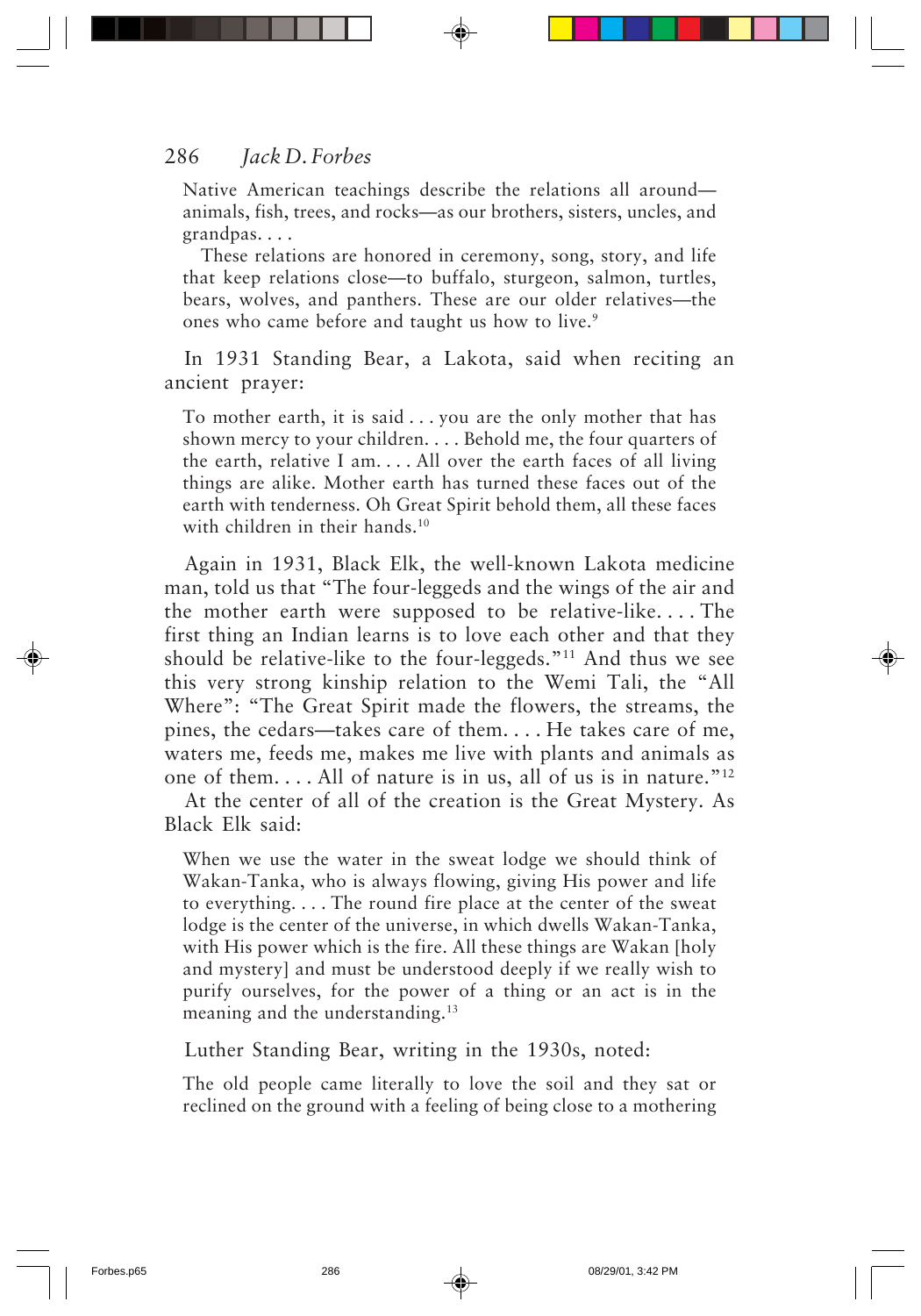Native American teachings describe the relations all around animals, fish, trees, and rocks—as our brothers, sisters, uncles, and grandpas. . . .

These relations are honored in ceremony, song, story, and life that keep relations close—to buffalo, sturgeon, salmon, turtles, bears, wolves, and panthers. These are our older relatives—the ones who came before and taught us how to live.<sup>9</sup>

In 1931 Standing Bear, a Lakota, said when reciting an ancient prayer:

To mother earth, it is said . . . you are the only mother that has shown mercy to your children. . . . Behold me, the four quarters of the earth, relative I am. . . . All over the earth faces of all living things are alike. Mother earth has turned these faces out of the earth with tenderness. Oh Great Spirit behold them, all these faces with children in their hands.<sup>10</sup>

Again in 1931, Black Elk, the well-known Lakota medicine man, told us that "The four-leggeds and the wings of the air and the mother earth were supposed to be relative-like. . . . The first thing an Indian learns is to love each other and that they should be relative-like to the four-leggeds."11 And thus we see this very strong kinship relation to the Wemi Tali, the "All Where": "The Great Spirit made the flowers, the streams, the pines, the cedars—takes care of them. . . . He takes care of me, waters me, feeds me, makes me live with plants and animals as one of them. . . . All of nature is in us, all of us is in nature."12

At the center of all of the creation is the Great Mystery. As Black Elk said:

When we use the water in the sweat lodge we should think of Wakan-Tanka, who is always flowing, giving His power and life to everything. . . . The round fire place at the center of the sweat lodge is the center of the universe, in which dwells Wakan-Tanka, with His power which is the fire. All these things are Wakan [holy and mystery] and must be understood deeply if we really wish to purify ourselves, for the power of a thing or an act is in the meaning and the understanding.<sup>13</sup>

Luther Standing Bear, writing in the 1930s, noted:

The old people came literally to love the soil and they sat or reclined on the ground with a feeling of being close to a mothering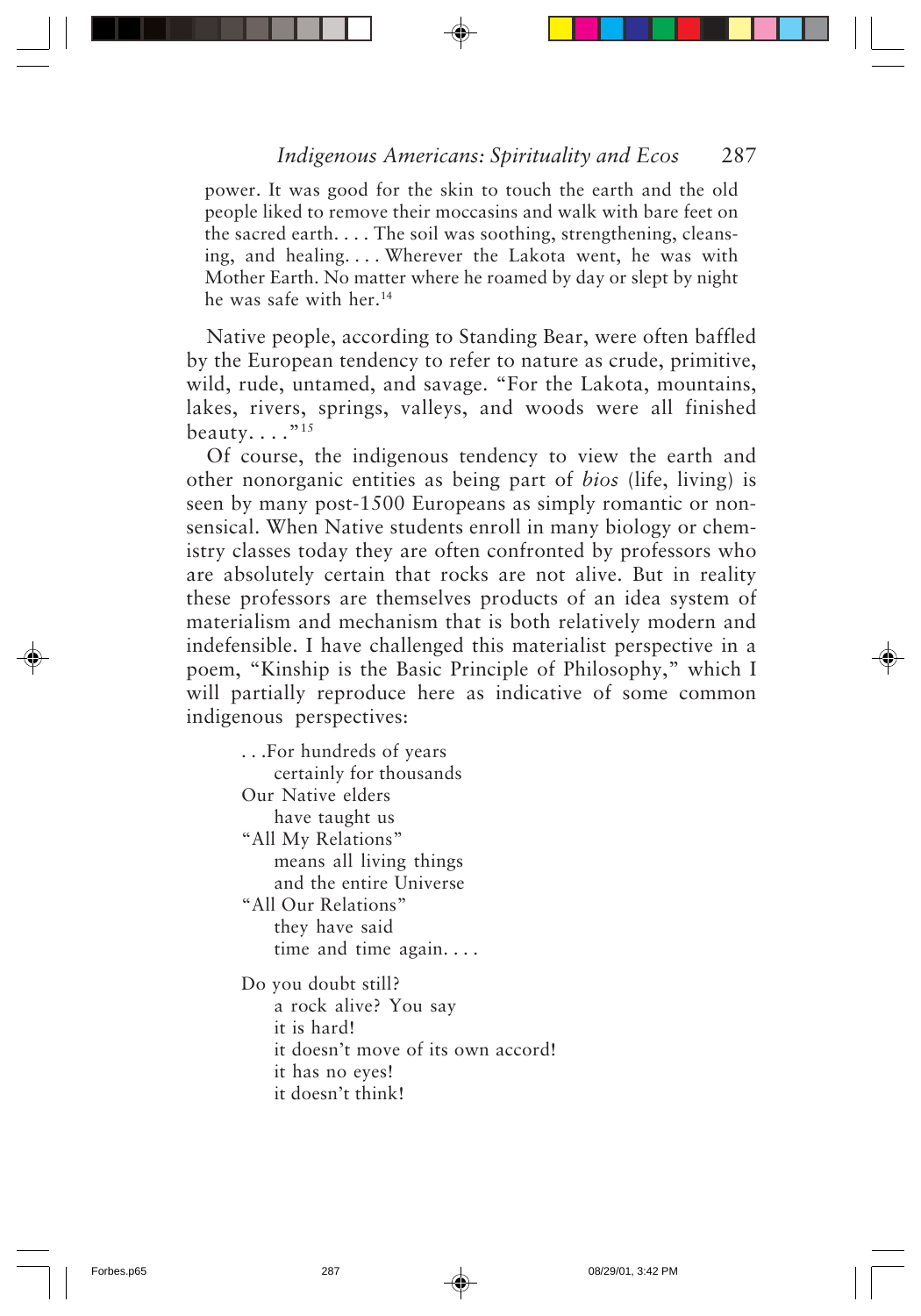power. It was good for the skin to touch the earth and the old people liked to remove their moccasins and walk with bare feet on the sacred earth. . . . The soil was soothing, strengthening, cleansing, and healing. . . . Wherever the Lakota went, he was with Mother Earth. No matter where he roamed by day or slept by night he was safe with her.<sup>14</sup>

Native people, according to Standing Bear, were often baffled by the European tendency to refer to nature as crude, primitive, wild, rude, untamed, and savage. "For the Lakota, mountains, lakes, rivers, springs, valleys, and woods were all finished beauty...."<sup>15</sup>

Of course, the indigenous tendency to view the earth and other nonorganic entities as being part of *bios* (life, living) is seen by many post-1500 Europeans as simply romantic or nonsensical. When Native students enroll in many biology or chemistry classes today they are often confronted by professors who are absolutely certain that rocks are not alive. But in reality these professors are themselves products of an idea system of materialism and mechanism that is both relatively modern and indefensible. I have challenged this materialist perspective in a poem, "Kinship is the Basic Principle of Philosophy," which I will partially reproduce here as indicative of some common indigenous perspectives:

. . .For hundreds of years certainly for thousands Our Native elders have taught us "All My Relations" means all living things and the entire Universe "All Our Relations" they have said time and time again. . . . Do you doubt still? a rock alive? You say it is hard! it doesn't move of its own accord! it has no eyes! it doesn't think!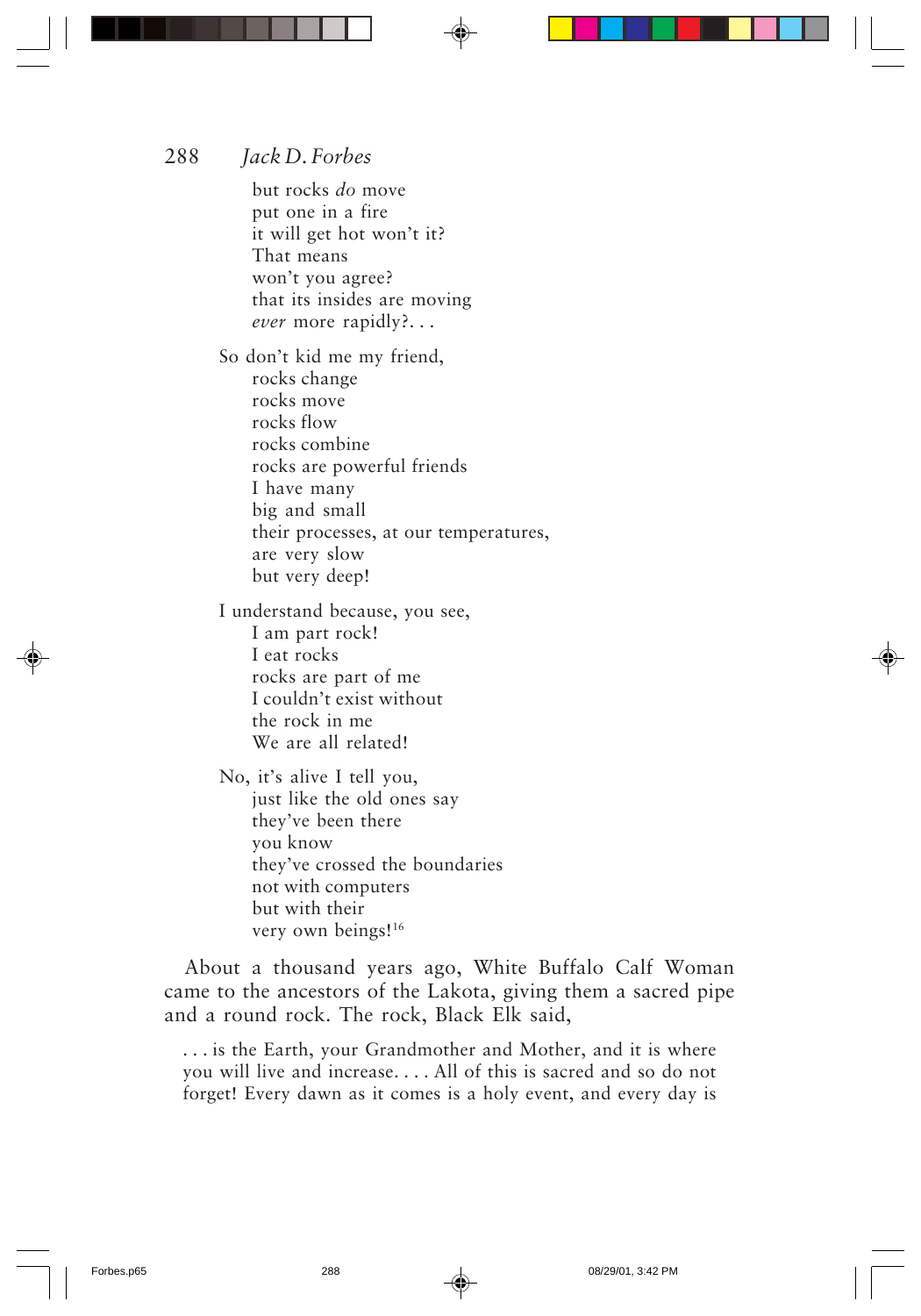but rocks *do* move put one in a fire it will get hot won't it? That means won't you agree? that its insides are moving *ever* more rapidly?. . .

So don't kid me my friend, rocks change rocks move rocks flow rocks combine rocks are powerful friends I have many big and small their processes, at our temperatures, are very slow but very deep!

I understand because, you see, I am part rock! I eat rocks rocks are part of me I couldn't exist without the rock in me We are all related!

No, it's alive I tell you, just like the old ones say they've been there you know they've crossed the boundaries not with computers but with their very own beings!<sup>16</sup>

About a thousand years ago, White Buffalo Calf Woman came to the ancestors of the Lakota, giving them a sacred pipe and a round rock. The rock, Black Elk said,

. . . is the Earth, your Grandmother and Mother, and it is where you will live and increase. . . . All of this is sacred and so do not forget! Every dawn as it comes is a holy event, and every day is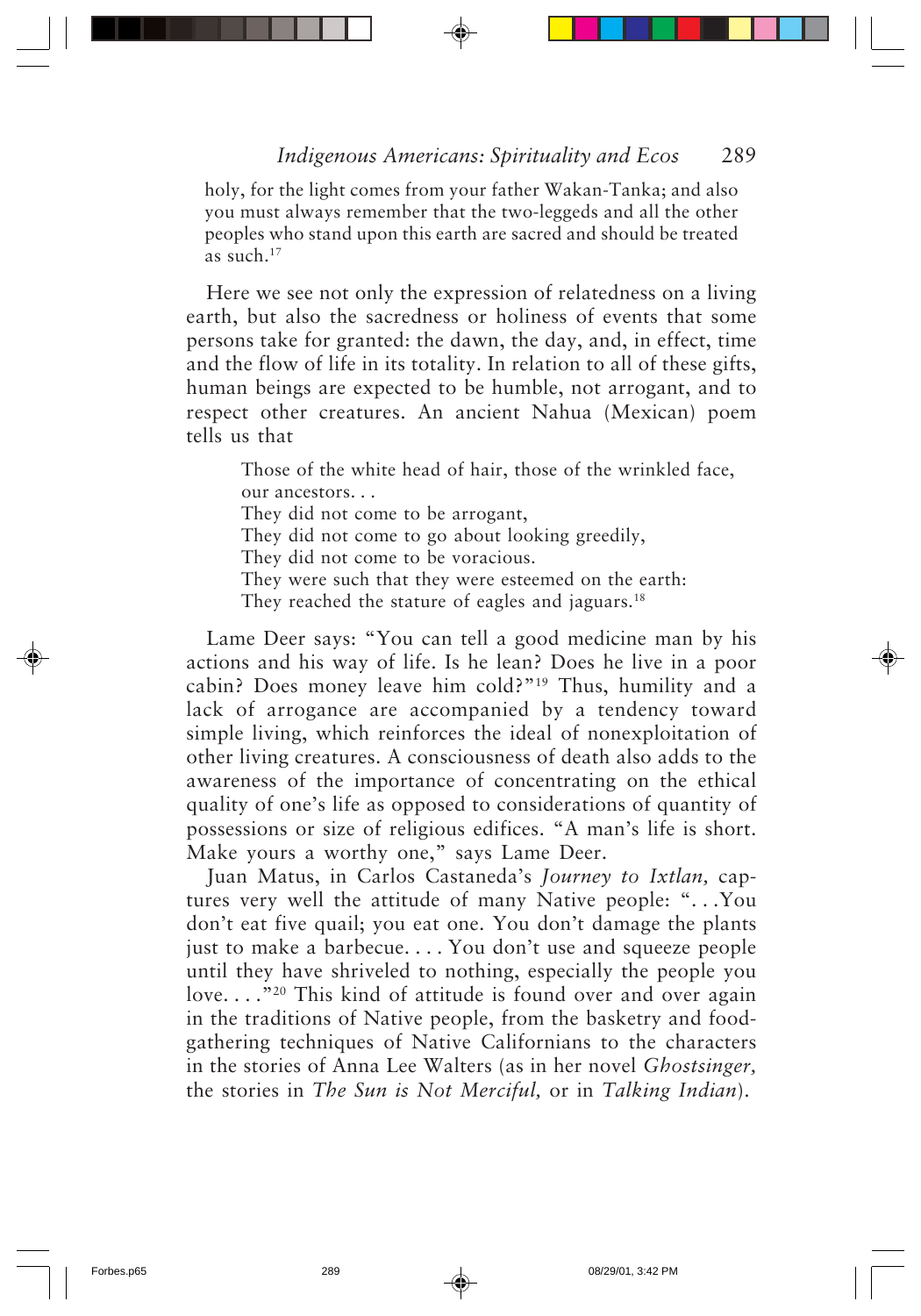holy, for the light comes from your father Wakan-Tanka; and also you must always remember that the two-leggeds and all the other peoples who stand upon this earth are sacred and should be treated as such.17

Here we see not only the expression of relatedness on a living earth, but also the sacredness or holiness of events that some persons take for granted: the dawn, the day, and, in effect, time and the flow of life in its totality. In relation to all of these gifts, human beings are expected to be humble, not arrogant, and to respect other creatures. An ancient Nahua (Mexican) poem tells us that

Those of the white head of hair, those of the wrinkled face, our ancestors. . . They did not come to be arrogant, They did not come to go about looking greedily, They did not come to be voracious. They were such that they were esteemed on the earth: They reached the stature of eagles and jaguars.<sup>18</sup>

Lame Deer says: "You can tell a good medicine man by his actions and his way of life. Is he lean? Does he live in a poor cabin? Does money leave him cold?"19 Thus, humility and a lack of arrogance are accompanied by a tendency toward simple living, which reinforces the ideal of nonexploitation of other living creatures. A consciousness of death also adds to the awareness of the importance of concentrating on the ethical quality of one's life as opposed to considerations of quantity of possessions or size of religious edifices. "A man's life is short. Make yours a worthy one," says Lame Deer.

Juan Matus, in Carlos Castaneda's *Journey to Ixtlan,* captures very well the attitude of many Native people: ". . .You don't eat five quail; you eat one. You don't damage the plants just to make a barbecue. . . . You don't use and squeeze people until they have shriveled to nothing, especially the people you love...."<sup>20</sup> This kind of attitude is found over and over again in the traditions of Native people, from the basketry and foodgathering techniques of Native Californians to the characters in the stories of Anna Lee Walters (as in her novel *Ghostsinger,* the stories in *The Sun is Not Merciful,* or in *Talking Indian*).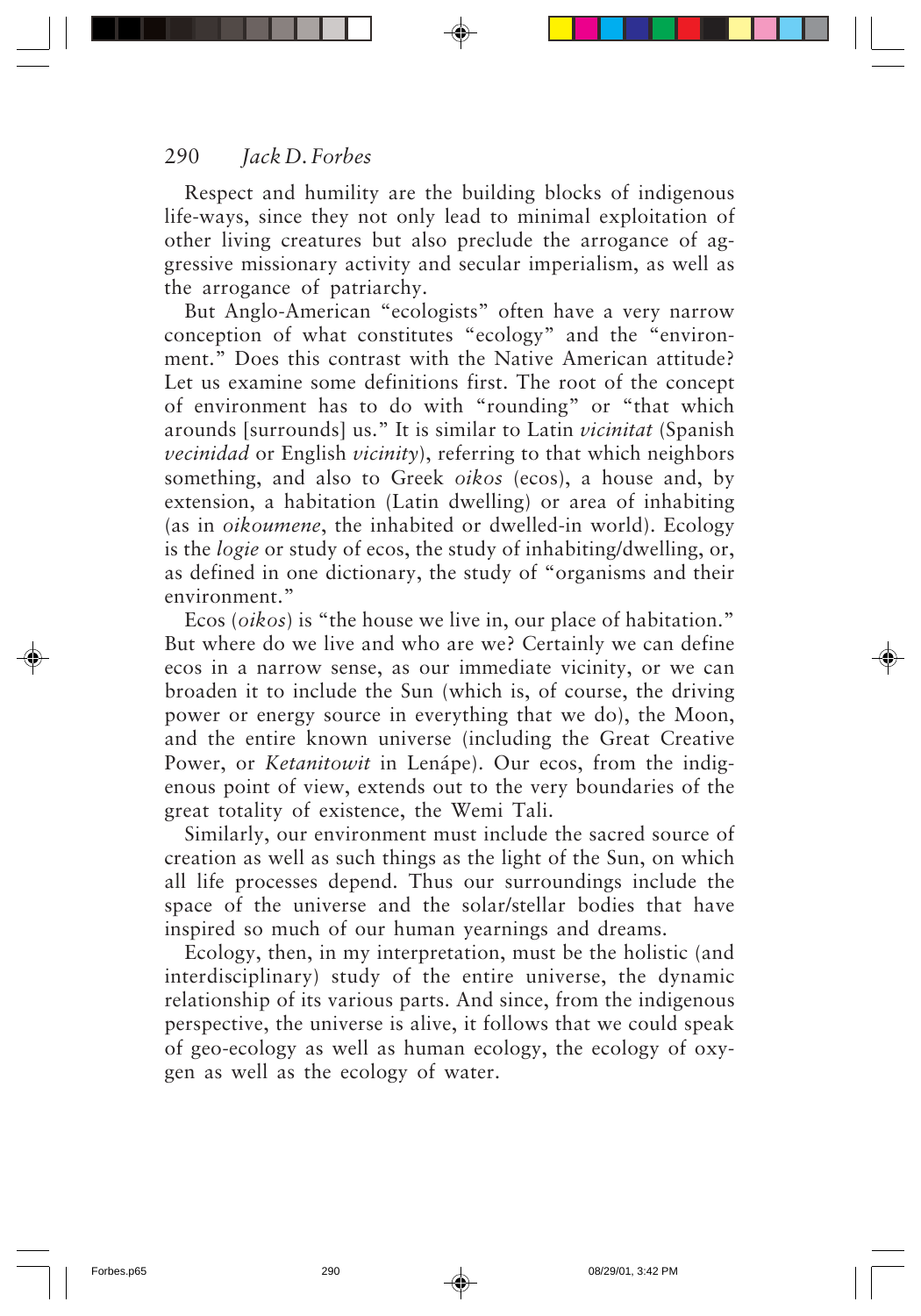Respect and humility are the building blocks of indigenous life-ways, since they not only lead to minimal exploitation of other living creatures but also preclude the arrogance of aggressive missionary activity and secular imperialism, as well as the arrogance of patriarchy.

But Anglo-American "ecologists" often have a very narrow conception of what constitutes "ecology" and the "environment." Does this contrast with the Native American attitude? Let us examine some definitions first. The root of the concept of environment has to do with "rounding" or "that which arounds [surrounds] us." It is similar to Latin *vicinitat* (Spanish *vecinidad* or English *vicinity*), referring to that which neighbors something, and also to Greek *oikos* (ecos), a house and, by extension, a habitation (Latin dwelling) or area of inhabiting (as in *oikoumene*, the inhabited or dwelled-in world). Ecology is the *logie* or study of ecos, the study of inhabiting/dwelling, or, as defined in one dictionary, the study of "organisms and their environment."

Ecos (*oikos*) is "the house we live in, our place of habitation." But where do we live and who are we? Certainly we can define ecos in a narrow sense, as our immediate vicinity, or we can broaden it to include the Sun (which is, of course, the driving power or energy source in everything that we do), the Moon, and the entire known universe (including the Great Creative Power, or *Ketanitowit* in Lenápe). Our ecos, from the indigenous point of view, extends out to the very boundaries of the great totality of existence, the Wemi Tali.

Similarly, our environment must include the sacred source of creation as well as such things as the light of the Sun, on which all life processes depend. Thus our surroundings include the space of the universe and the solar/stellar bodies that have inspired so much of our human yearnings and dreams.

Ecology, then, in my interpretation, must be the holistic (and interdisciplinary) study of the entire universe, the dynamic relationship of its various parts. And since, from the indigenous perspective, the universe is alive, it follows that we could speak of geo-ecology as well as human ecology, the ecology of oxygen as well as the ecology of water.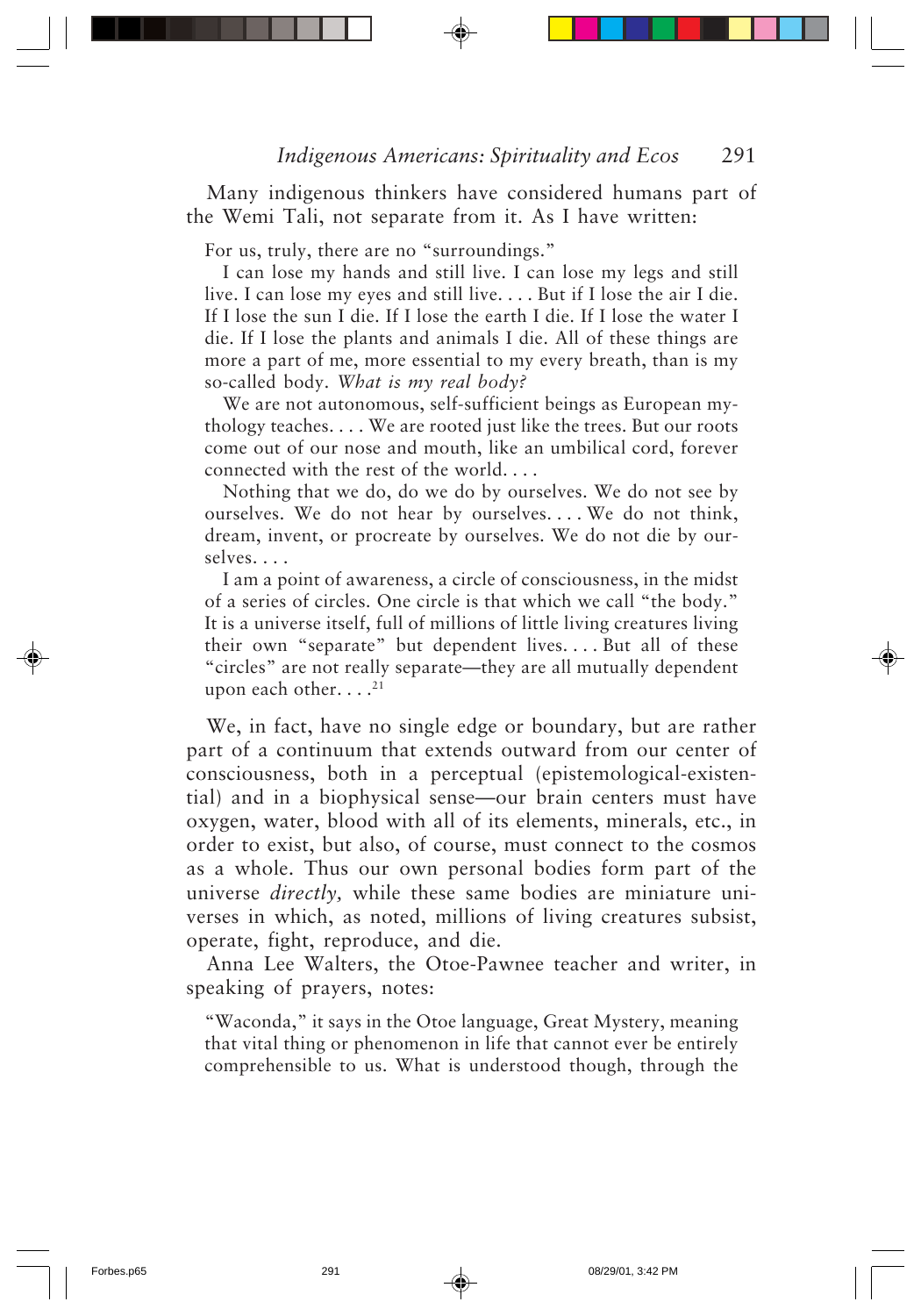Many indigenous thinkers have considered humans part of the Wemi Tali, not separate from it. As I have written:

For us, truly, there are no "surroundings."

I can lose my hands and still live. I can lose my legs and still live. I can lose my eyes and still live. . . . But if I lose the air I die. If I lose the sun I die. If I lose the earth I die. If I lose the water I die. If I lose the plants and animals I die. All of these things are more a part of me, more essential to my every breath, than is my so-called body. *What is my real body?*

We are not autonomous, self-sufficient beings as European mythology teaches. . . . We are rooted just like the trees. But our roots come out of our nose and mouth, like an umbilical cord, forever connected with the rest of the world. . . .

Nothing that we do, do we do by ourselves. We do not see by ourselves. We do not hear by ourselves. . . . We do not think, dream, invent, or procreate by ourselves. We do not die by ourselves. . . .

I am a point of awareness, a circle of consciousness, in the midst of a series of circles. One circle is that which we call "the body." It is a universe itself, full of millions of little living creatures living their own "separate" but dependent lives. . . . But all of these "circles" are not really separate—they are all mutually dependent upon each other.  $\dots$ <sup>21</sup>

We, in fact, have no single edge or boundary, but are rather part of a continuum that extends outward from our center of consciousness, both in a perceptual (epistemological-existential) and in a biophysical sense—our brain centers must have oxygen, water, blood with all of its elements, minerals, etc., in order to exist, but also, of course, must connect to the cosmos as a whole. Thus our own personal bodies form part of the universe *directly,* while these same bodies are miniature universes in which, as noted, millions of living creatures subsist, operate, fight, reproduce, and die.

Anna Lee Walters, the Otoe-Pawnee teacher and writer, in speaking of prayers, notes:

"Waconda," it says in the Otoe language, Great Mystery, meaning that vital thing or phenomenon in life that cannot ever be entirely comprehensible to us. What is understood though, through the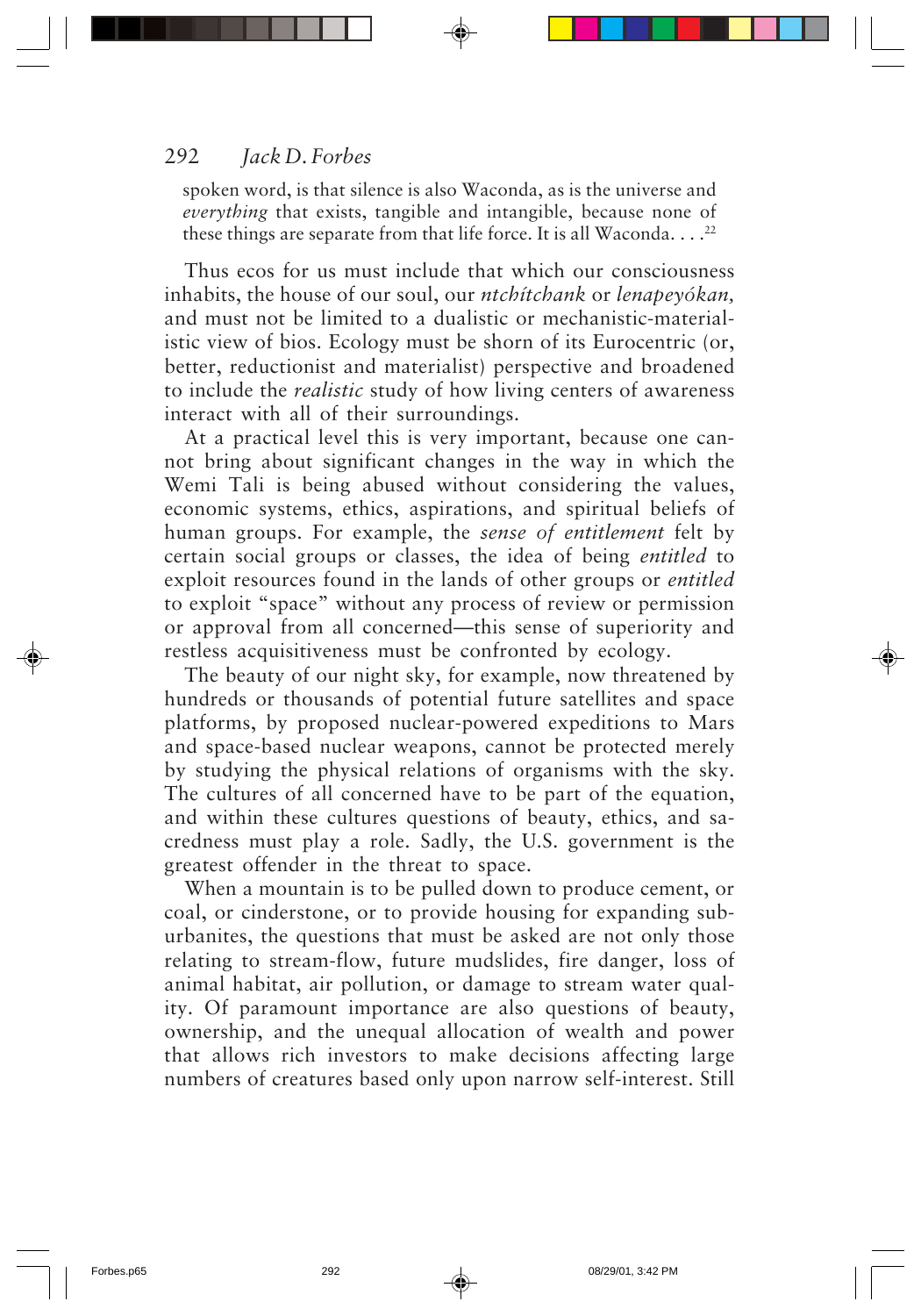spoken word, is that silence is also Waconda, as is the universe and *everything* that exists, tangible and intangible, because none of these things are separate from that life force. It is all Waconda... $^{22}$ 

Thus ecos for us must include that which our consciousness inhabits, the house of our soul, our *ntchítchank* or *lenapeyókan,* and must not be limited to a dualistic or mechanistic-materialistic view of bios. Ecology must be shorn of its Eurocentric (or, better, reductionist and materialist) perspective and broadened to include the *realistic* study of how living centers of awareness interact with all of their surroundings.

At a practical level this is very important, because one cannot bring about significant changes in the way in which the Wemi Tali is being abused without considering the values, economic systems, ethics, aspirations, and spiritual beliefs of human groups. For example, the *sense of entitlement* felt by certain social groups or classes, the idea of being *entitled* to exploit resources found in the lands of other groups or *entitled* to exploit "space" without any process of review or permission or approval from all concerned—this sense of superiority and restless acquisitiveness must be confronted by ecology.

The beauty of our night sky, for example, now threatened by hundreds or thousands of potential future satellites and space platforms, by proposed nuclear-powered expeditions to Mars and space-based nuclear weapons, cannot be protected merely by studying the physical relations of organisms with the sky. The cultures of all concerned have to be part of the equation, and within these cultures questions of beauty, ethics, and sacredness must play a role. Sadly, the U.S. government is the greatest offender in the threat to space.

When a mountain is to be pulled down to produce cement, or coal, or cinderstone, or to provide housing for expanding suburbanites, the questions that must be asked are not only those relating to stream-flow, future mudslides, fire danger, loss of animal habitat, air pollution, or damage to stream water quality. Of paramount importance are also questions of beauty, ownership, and the unequal allocation of wealth and power that allows rich investors to make decisions affecting large numbers of creatures based only upon narrow self-interest. Still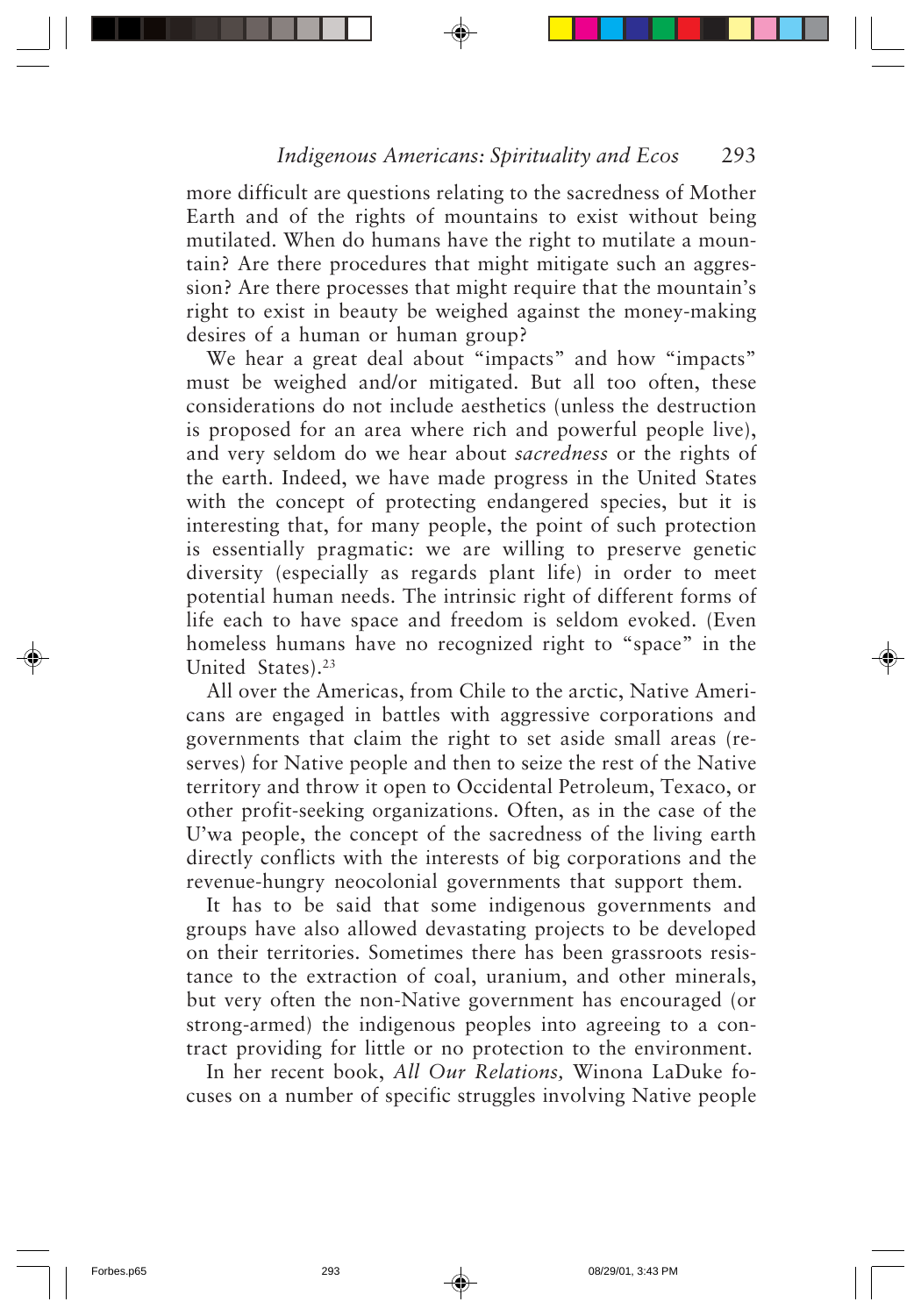more difficult are questions relating to the sacredness of Mother Earth and of the rights of mountains to exist without being mutilated. When do humans have the right to mutilate a mountain? Are there procedures that might mitigate such an aggression? Are there processes that might require that the mountain's right to exist in beauty be weighed against the money-making desires of a human or human group?

We hear a great deal about "impacts" and how "impacts" must be weighed and/or mitigated. But all too often, these considerations do not include aesthetics (unless the destruction is proposed for an area where rich and powerful people live), and very seldom do we hear about *sacredness* or the rights of the earth. Indeed, we have made progress in the United States with the concept of protecting endangered species, but it is interesting that, for many people, the point of such protection is essentially pragmatic: we are willing to preserve genetic diversity (especially as regards plant life) in order to meet potential human needs. The intrinsic right of different forms of life each to have space and freedom is seldom evoked. (Even homeless humans have no recognized right to "space" in the United States).<sup>23</sup>

All over the Americas, from Chile to the arctic, Native Americans are engaged in battles with aggressive corporations and governments that claim the right to set aside small areas (reserves) for Native people and then to seize the rest of the Native territory and throw it open to Occidental Petroleum, Texaco, or other profit-seeking organizations. Often, as in the case of the U'wa people, the concept of the sacredness of the living earth directly conflicts with the interests of big corporations and the revenue-hungry neocolonial governments that support them.

It has to be said that some indigenous governments and groups have also allowed devastating projects to be developed on their territories. Sometimes there has been grassroots resistance to the extraction of coal, uranium, and other minerals, but very often the non-Native government has encouraged (or strong-armed) the indigenous peoples into agreeing to a contract providing for little or no protection to the environment.

In her recent book, *All Our Relations,* Winona LaDuke focuses on a number of specific struggles involving Native people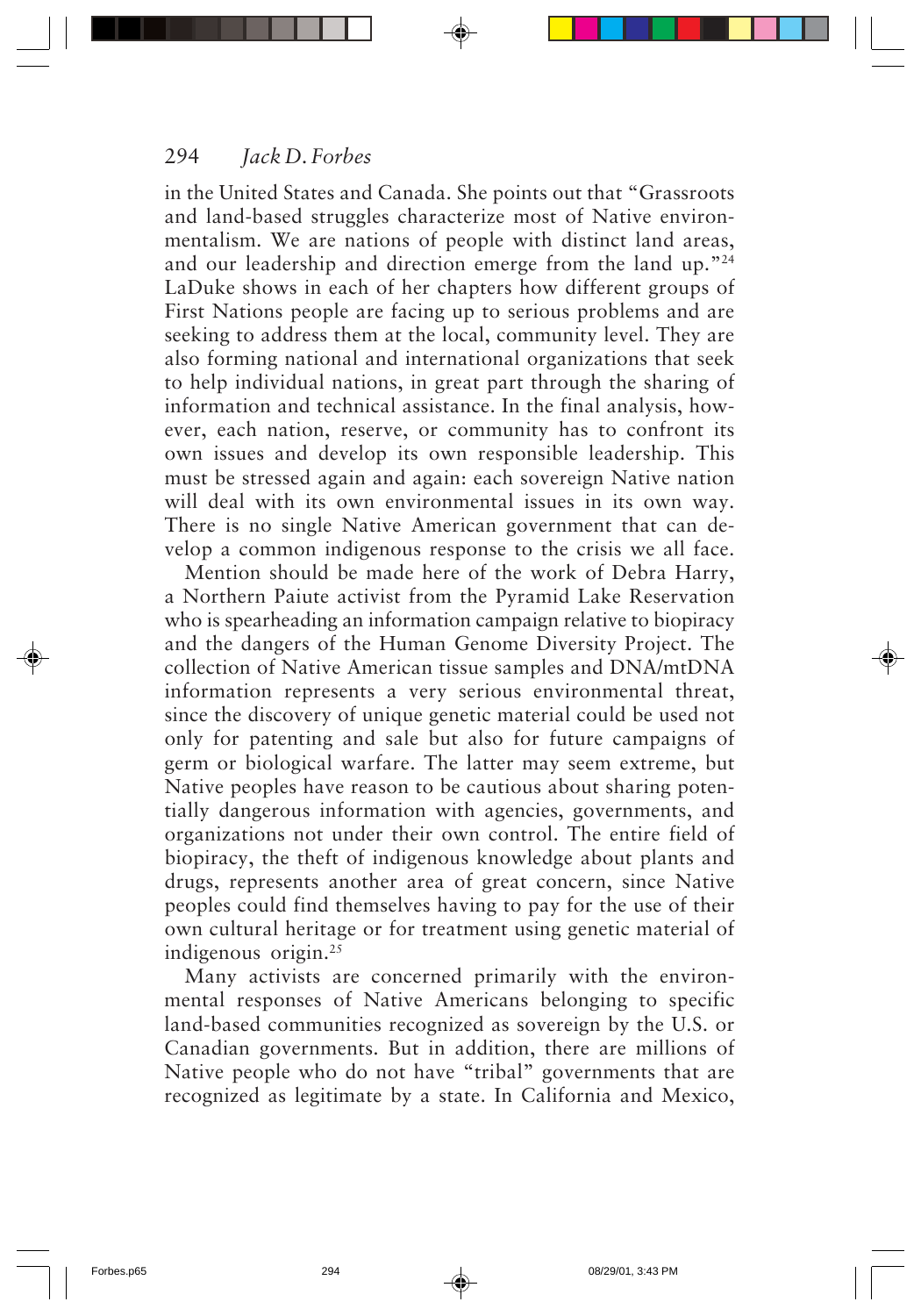in the United States and Canada. She points out that "Grassroots and land-based struggles characterize most of Native environmentalism. We are nations of people with distinct land areas, and our leadership and direction emerge from the land up."24 LaDuke shows in each of her chapters how different groups of First Nations people are facing up to serious problems and are seeking to address them at the local, community level. They are also forming national and international organizations that seek to help individual nations, in great part through the sharing of information and technical assistance. In the final analysis, however, each nation, reserve, or community has to confront its own issues and develop its own responsible leadership. This must be stressed again and again: each sovereign Native nation will deal with its own environmental issues in its own way. There is no single Native American government that can develop a common indigenous response to the crisis we all face.

Mention should be made here of the work of Debra Harry, a Northern Paiute activist from the Pyramid Lake Reservation who is spearheading an information campaign relative to biopiracy and the dangers of the Human Genome Diversity Project. The collection of Native American tissue samples and DNA/mtDNA information represents a very serious environmental threat, since the discovery of unique genetic material could be used not only for patenting and sale but also for future campaigns of germ or biological warfare. The latter may seem extreme, but Native peoples have reason to be cautious about sharing potentially dangerous information with agencies, governments, and organizations not under their own control. The entire field of biopiracy, the theft of indigenous knowledge about plants and drugs, represents another area of great concern, since Native peoples could find themselves having to pay for the use of their own cultural heritage or for treatment using genetic material of indigenous origin. $^{25}$ 

Many activists are concerned primarily with the environmental responses of Native Americans belonging to specific land-based communities recognized as sovereign by the U.S. or Canadian governments. But in addition, there are millions of Native people who do not have "tribal" governments that are recognized as legitimate by a state. In California and Mexico,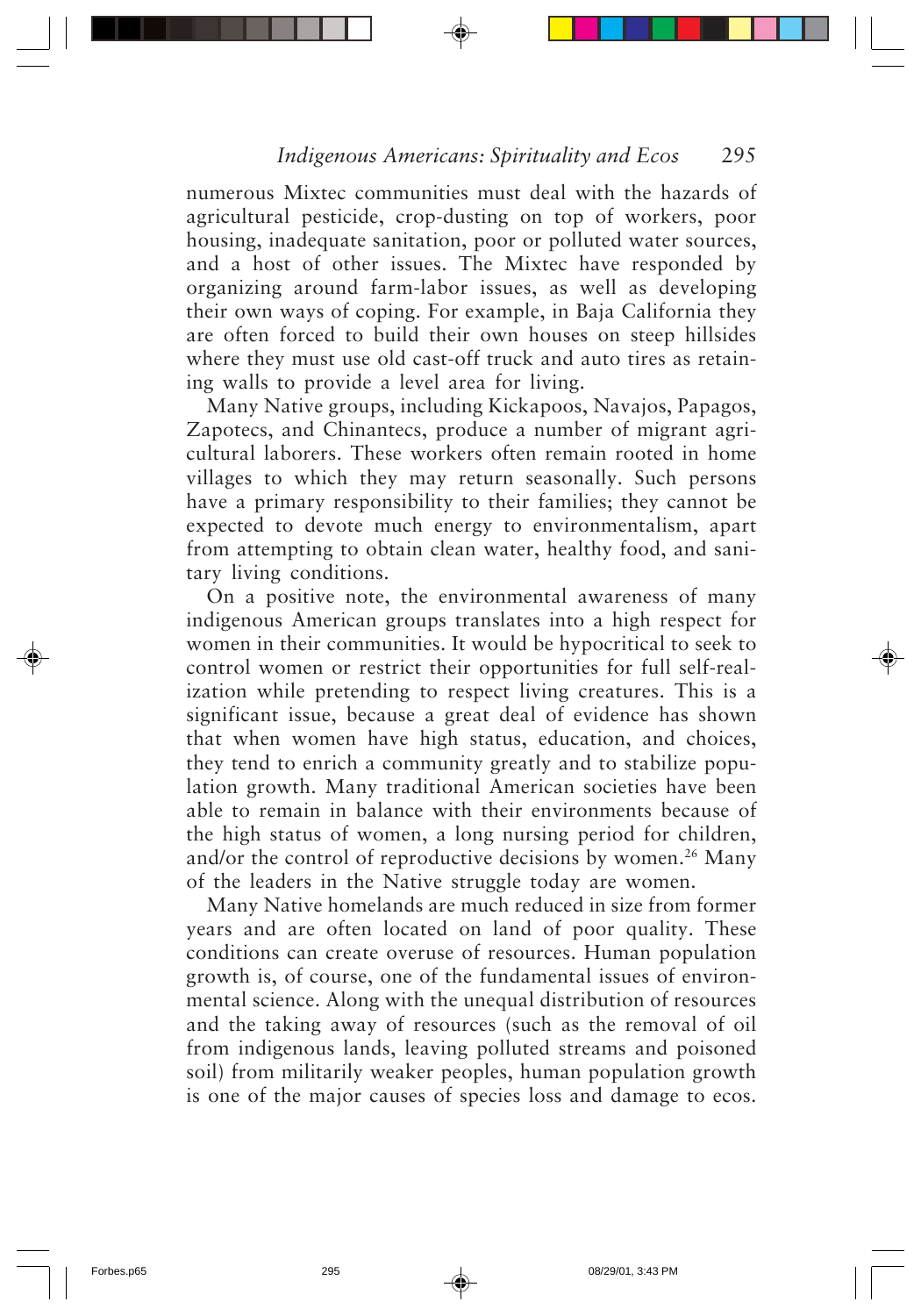numerous Mixtec communities must deal with the hazards of agricultural pesticide, crop-dusting on top of workers, poor housing, inadequate sanitation, poor or polluted water sources, and a host of other issues. The Mixtec have responded by organizing around farm-labor issues, as well as developing their own ways of coping. For example, in Baja California they are often forced to build their own houses on steep hillsides where they must use old cast-off truck and auto tires as retaining walls to provide a level area for living.

Many Native groups, including Kickapoos, Navajos, Papagos, Zapotecs, and Chinantecs, produce a number of migrant agricultural laborers. These workers often remain rooted in home villages to which they may return seasonally. Such persons have a primary responsibility to their families; they cannot be expected to devote much energy to environmentalism, apart from attempting to obtain clean water, healthy food, and sanitary living conditions.

On a positive note, the environmental awareness of many indigenous American groups translates into a high respect for women in their communities. It would be hypocritical to seek to control women or restrict their opportunities for full self-realization while pretending to respect living creatures. This is a significant issue, because a great deal of evidence has shown that when women have high status, education, and choices, they tend to enrich a community greatly and to stabilize population growth. Many traditional American societies have been able to remain in balance with their environments because of the high status of women, a long nursing period for children, and/or the control of reproductive decisions by women.<sup>26</sup> Many of the leaders in the Native struggle today are women.

Many Native homelands are much reduced in size from former years and are often located on land of poor quality. These conditions can create overuse of resources. Human population growth is, of course, one of the fundamental issues of environmental science. Along with the unequal distribution of resources and the taking away of resources (such as the removal of oil from indigenous lands, leaving polluted streams and poisoned soil) from militarily weaker peoples, human population growth is one of the major causes of species loss and damage to ecos.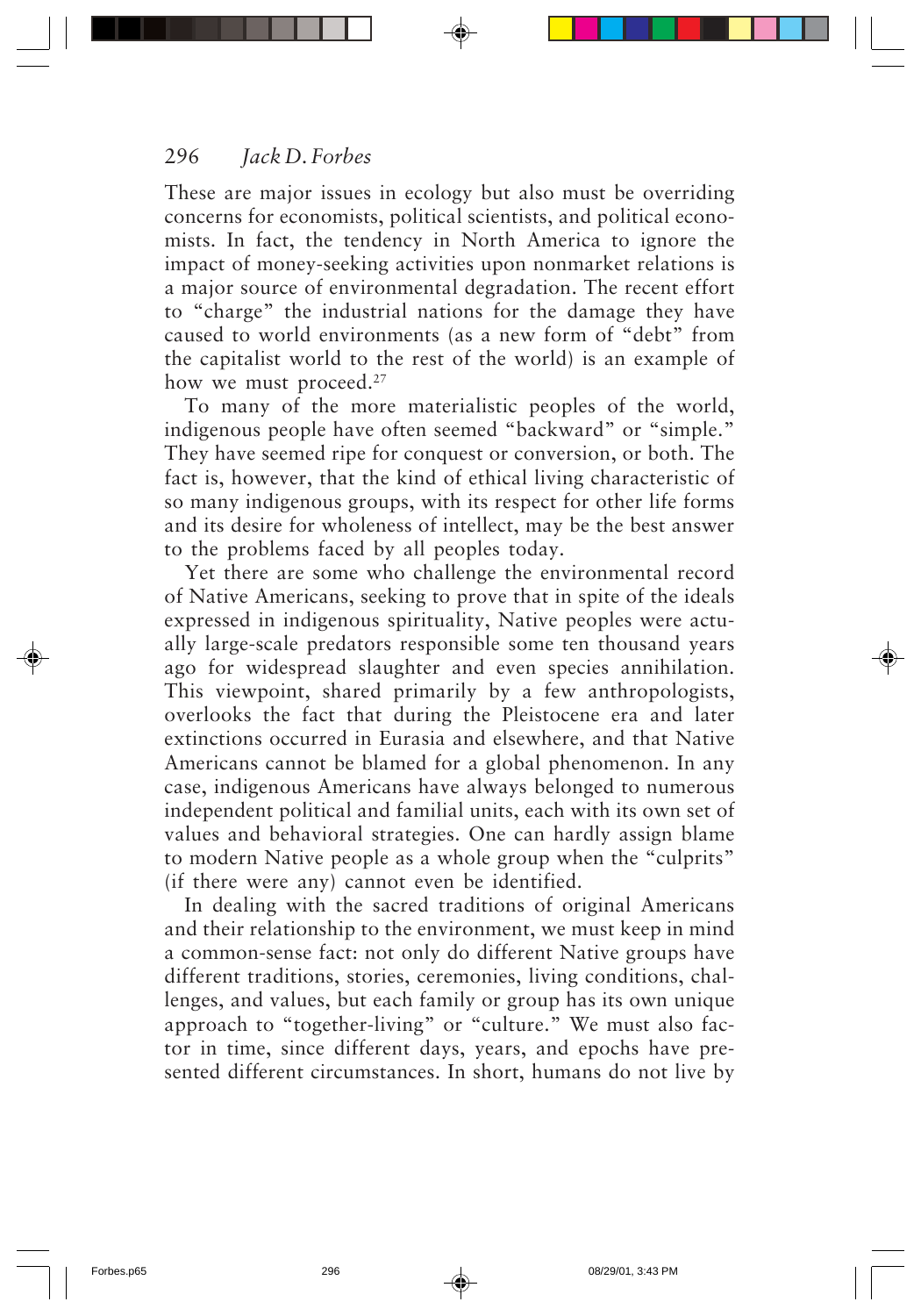These are major issues in ecology but also must be overriding concerns for economists, political scientists, and political economists. In fact, the tendency in North America to ignore the impact of money-seeking activities upon nonmarket relations is a major source of environmental degradation. The recent effort to "charge" the industrial nations for the damage they have caused to world environments (as a new form of "debt" from the capitalist world to the rest of the world) is an example of how we must proceed.<sup>27</sup>

To many of the more materialistic peoples of the world, indigenous people have often seemed "backward" or "simple." They have seemed ripe for conquest or conversion, or both. The fact is, however, that the kind of ethical living characteristic of so many indigenous groups, with its respect for other life forms and its desire for wholeness of intellect, may be the best answer to the problems faced by all peoples today.

Yet there are some who challenge the environmental record of Native Americans, seeking to prove that in spite of the ideals expressed in indigenous spirituality, Native peoples were actually large-scale predators responsible some ten thousand years ago for widespread slaughter and even species annihilation. This viewpoint, shared primarily by a few anthropologists, overlooks the fact that during the Pleistocene era and later extinctions occurred in Eurasia and elsewhere, and that Native Americans cannot be blamed for a global phenomenon. In any case, indigenous Americans have always belonged to numerous independent political and familial units, each with its own set of values and behavioral strategies. One can hardly assign blame to modern Native people as a whole group when the "culprits" (if there were any) cannot even be identified.

In dealing with the sacred traditions of original Americans and their relationship to the environment, we must keep in mind a common-sense fact: not only do different Native groups have different traditions, stories, ceremonies, living conditions, challenges, and values, but each family or group has its own unique approach to "together-living" or "culture." We must also factor in time, since different days, years, and epochs have presented different circumstances. In short, humans do not live by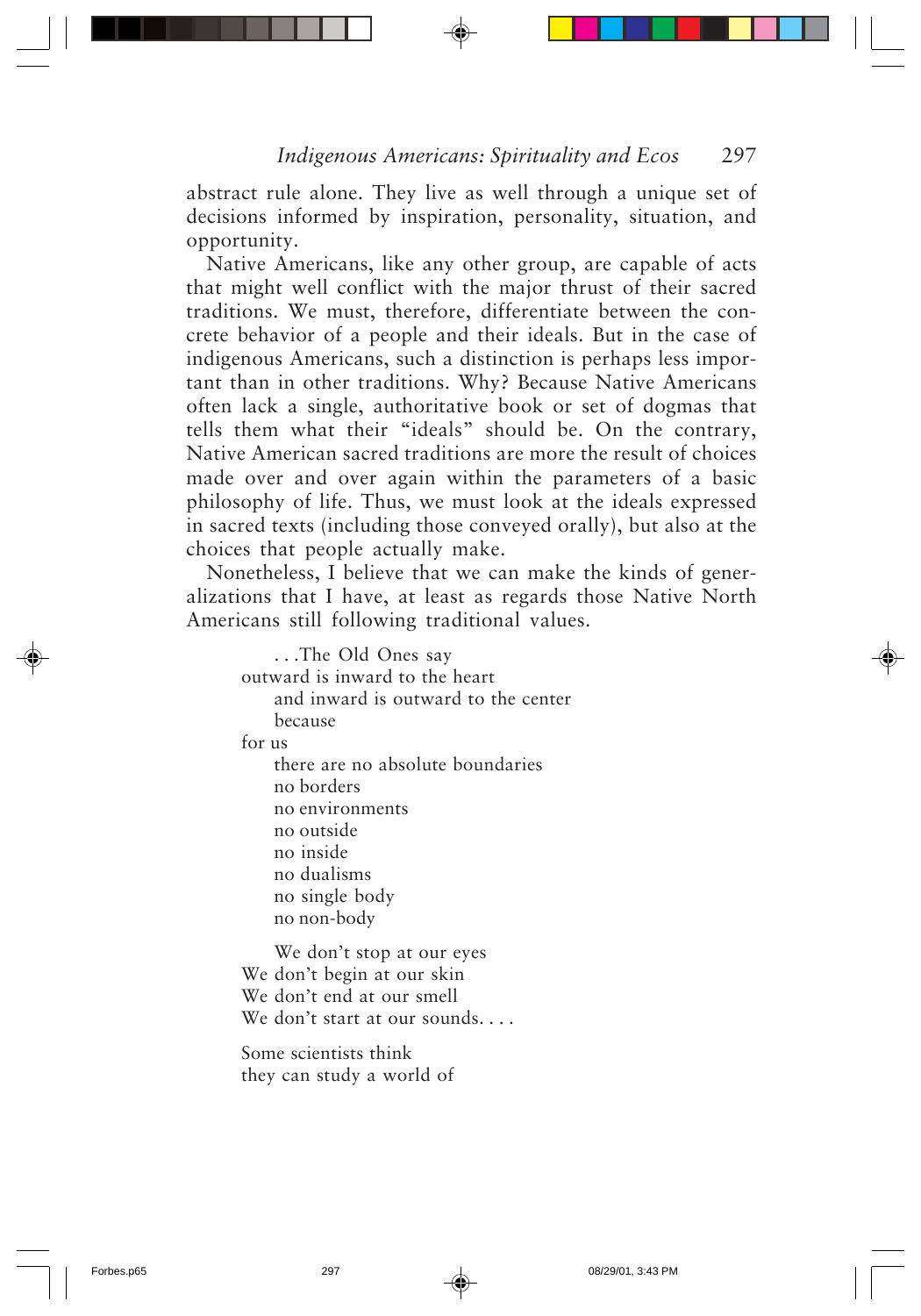abstract rule alone. They live as well through a unique set of decisions informed by inspiration, personality, situation, and opportunity.

Native Americans, like any other group, are capable of acts that might well conflict with the major thrust of their sacred traditions. We must, therefore, differentiate between the concrete behavior of a people and their ideals. But in the case of indigenous Americans, such a distinction is perhaps less important than in other traditions. Why? Because Native Americans often lack a single, authoritative book or set of dogmas that tells them what their "ideals" should be. On the contrary, Native American sacred traditions are more the result of choices made over and over again within the parameters of a basic philosophy of life. Thus, we must look at the ideals expressed in sacred texts (including those conveyed orally), but also at the choices that people actually make.

Nonetheless, I believe that we can make the kinds of generalizations that I have, at least as regards those Native North Americans still following traditional values.

| The Old Ones say                         |
|------------------------------------------|
| outward is inward to the heart           |
| and inward is outward to the center      |
| because                                  |
| for us                                   |
| there are no absolute boundaries         |
| no borders                               |
| no environments                          |
| no outside                               |
| no inside                                |
| no dualisms                              |
| no single body                           |
| no non-body                              |
| $\mathbf{W}$ $\mathbf{1}$ , $\mathbf{1}$ |

We don't stop at our eyes We don't begin at our skin We don't end at our smell We don't start at our sounds. . . .

Some scientists think they can study a world of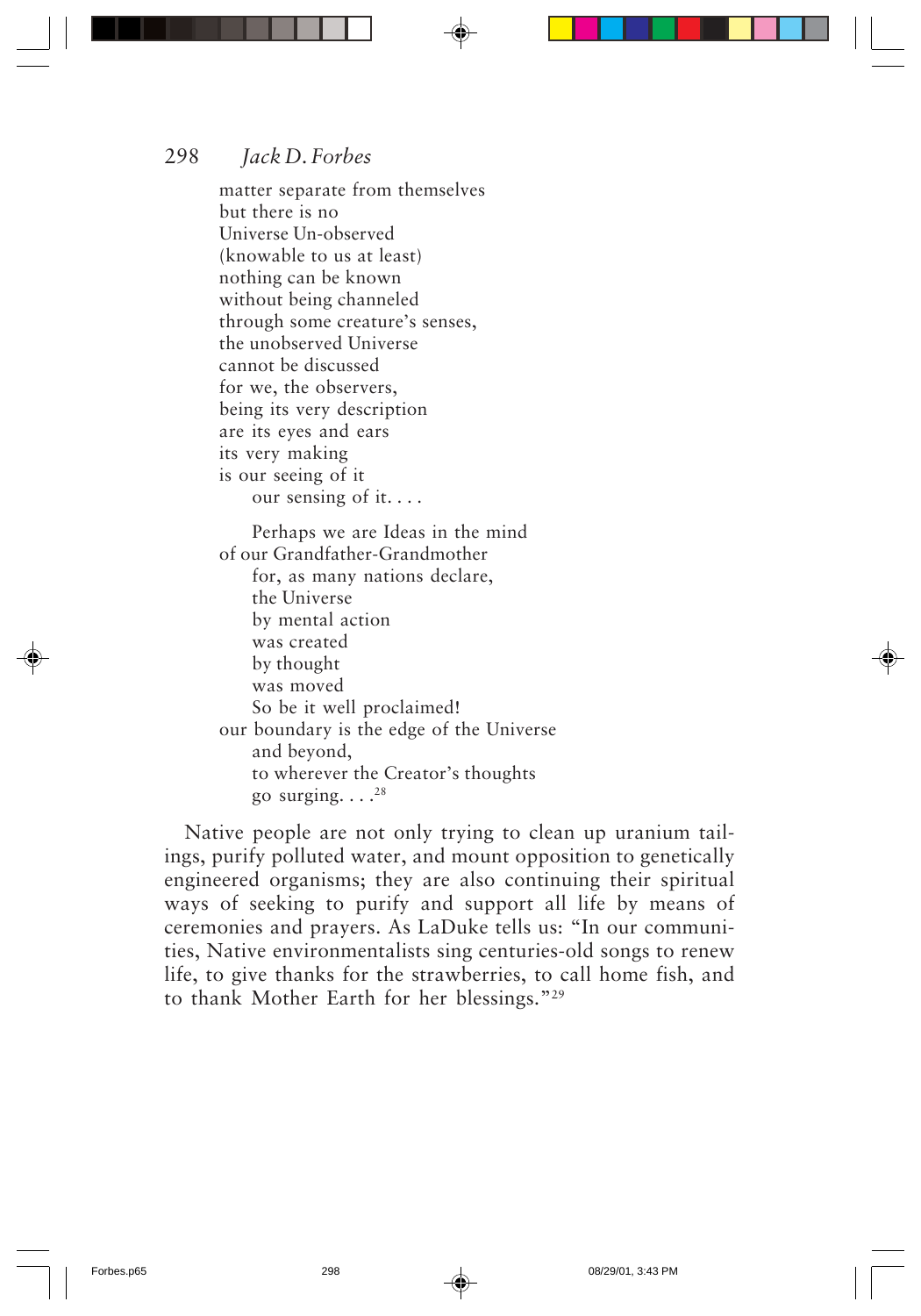matter separate from themselves but there is no Universe Un-observed (knowable to us at least) nothing can be known without being channeled through some creature's senses, the unobserved Universe cannot be discussed for we, the observers, being its very description are its eyes and ears its very making is our seeing of it our sensing of it. . . . Perhaps we are Ideas in the mind of our Grandfather-Grandmother for, as many nations declare, the Universe

by mental action was created by thought was moved So be it well proclaimed! our boundary is the edge of the Universe and beyond, to wherever the Creator's thoughts go surging.  $\ldots$ <sup>28</sup>

Native people are not only trying to clean up uranium tailings, purify polluted water, and mount opposition to genetically engineered organisms; they are also continuing their spiritual ways of seeking to purify and support all life by means of ceremonies and prayers. As LaDuke tells us: "In our communities, Native environmentalists sing centuries-old songs to renew life, to give thanks for the strawberries, to call home fish, and to thank Mother Earth for her blessings."29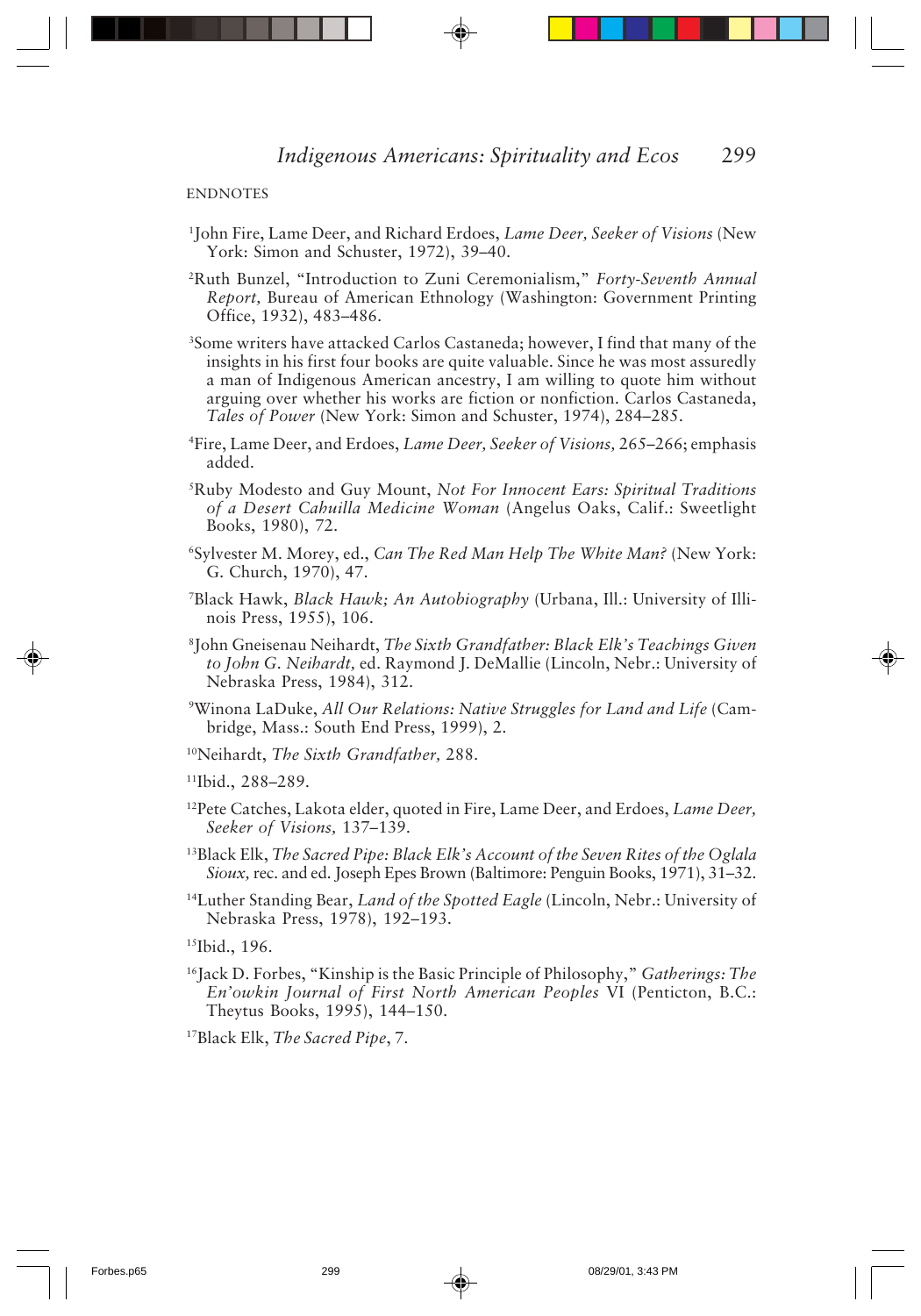**ENDNOTES** 

- 1 John Fire, Lame Deer, and Richard Erdoes, *Lame Deer, Seeker of Visions* (New York: Simon and Schuster, 1972), 39–40.
- 2 Ruth Bunzel, "Introduction to Zuni Ceremonialism," *Forty-Seventh Annual Report,* Bureau of American Ethnology (Washington: Government Printing Office, 1932), 483–486.
- 3 Some writers have attacked Carlos Castaneda; however, I find that many of the insights in his first four books are quite valuable. Since he was most assuredly a man of Indigenous American ancestry, I am willing to quote him without arguing over whether his works are fiction or nonfiction. Carlos Castaneda, *Tales of Power* (New York: Simon and Schuster, 1974), 284–285.
- 4 Fire, Lame Deer, and Erdoes, *Lame Deer, Seeker of Visions,* 265–266; emphasis added.
- 5 Ruby Modesto and Guy Mount, *Not For Innocent Ears: Spiritual Traditions of a Desert Cahuilla Medicine Woman* (Angelus Oaks, Calif.: Sweetlight Books, 1980), 72.
- 6 Sylvester M. Morey, ed., *Can The Red Man Help The White Man?* (New York: G. Church, 1970), 47.
- 7 Black Hawk, *Black Hawk; An Autobiography* (Urbana, Ill.: University of Illinois Press, 1955), 106.
- 8 John Gneisenau Neihardt, *The Sixth Grandfather: Black Elk's Teachings Given to John G. Neihardt,* ed. Raymond J. DeMallie (Lincoln, Nebr.: University of Nebraska Press, 1984), 312.
- 9 Winona LaDuke, *All Our Relations: Native Struggles for Land and Life* (Cambridge, Mass.: South End Press, 1999), 2.
- 10Neihardt, *The Sixth Grandfather,* 288.

11Ibid., 288–289.

- 12Pete Catches, Lakota elder, quoted in Fire, Lame Deer, and Erdoes, *Lame Deer, Seeker of Visions,* 137–139.
- 13Black Elk, *The Sacred Pipe: Black Elk's Account of the Seven Rites of the Oglala Sioux,* rec. and ed. Joseph Epes Brown (Baltimore: Penguin Books, 1971), 31–32.
- 14Luther Standing Bear, *Land of the Spotted Eagle* (Lincoln, Nebr.: University of Nebraska Press, 1978), 192–193.

15Ibid., 196.

16Jack D. Forbes, "Kinship is the Basic Principle of Philosophy," *Gatherings: The En'owkin Journal of First North American Peoples* VI (Penticton, B.C.: Theytus Books, 1995), 144–150.

17Black Elk, *The Sacred Pipe*, 7.